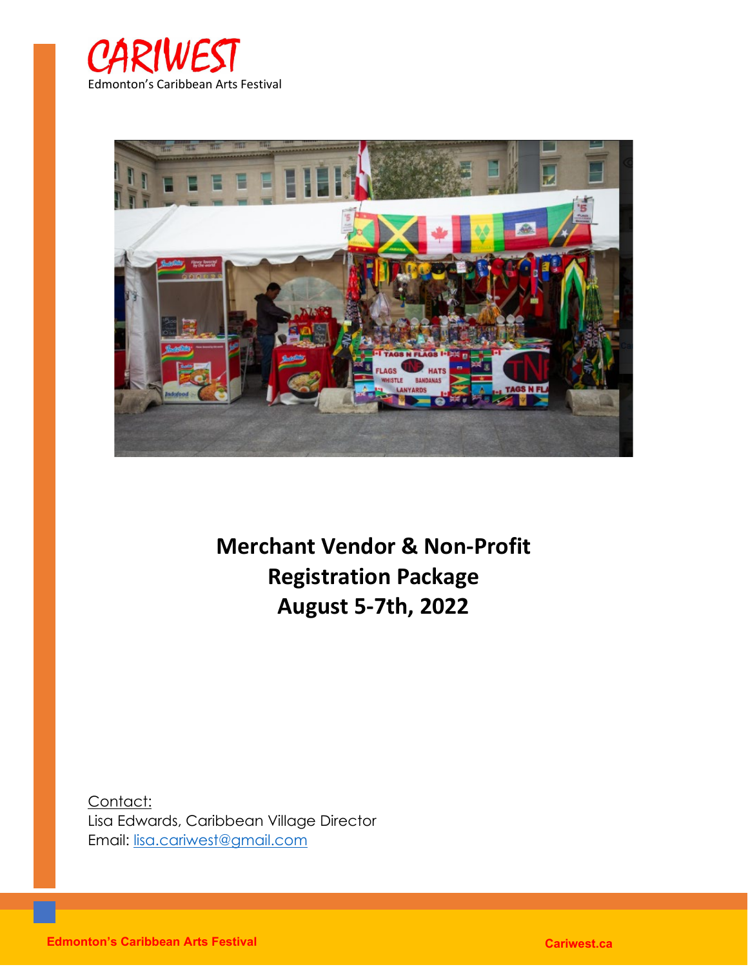



**Merchant Vendor & Non-Profit Registration Package August 5-7th, 2022**

Contact: Lisa Edwards, Caribbean Village Director Email: [lisa.cariwest@gmail.com](mailto:lisa.cariwest@gmail.com)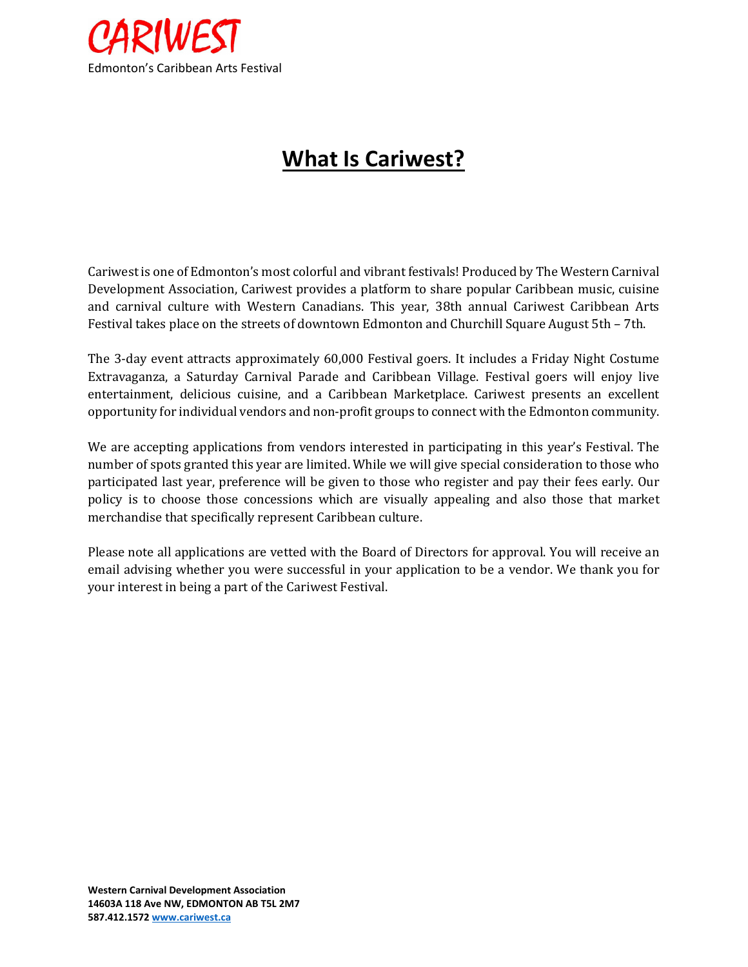

## **What Is Cariwest?**

Cariwest is one of Edmonton's most colorful and vibrant festivals! Produced by The Western Carnival Development Association, Cariwest provides a platform to share popular Caribbean music, cuisine and carnival culture with Western Canadians. This year, 38th annual Cariwest Caribbean Arts Festival takes place on the streets of downtown Edmonton and Churchill Square August 5th – 7th.

The 3-day event attracts approximately 60,000 Festival goers. It includes a Friday Night Costume Extravaganza, a Saturday Carnival Parade and Caribbean Village. Festival goers will enjoy live entertainment, delicious cuisine, and a Caribbean Marketplace. Cariwest presents an excellent opportunity for individual vendors and non-profit groups to connect with the Edmonton community.

We are accepting applications from vendors interested in participating in this year's Festival. The number of spots granted this year are limited. While we will give special consideration to those who participated last year, preference will be given to those who register and pay their fees early. Our policy is to choose those concessions which are visually appealing and also those that market merchandise that specifically represent Caribbean culture.

Please note all applications are vetted with the Board of Directors for approval. You will receive an email advising whether you were successful in your application to be a vendor. We thank you for your interest in being a part of the Cariwest Festival.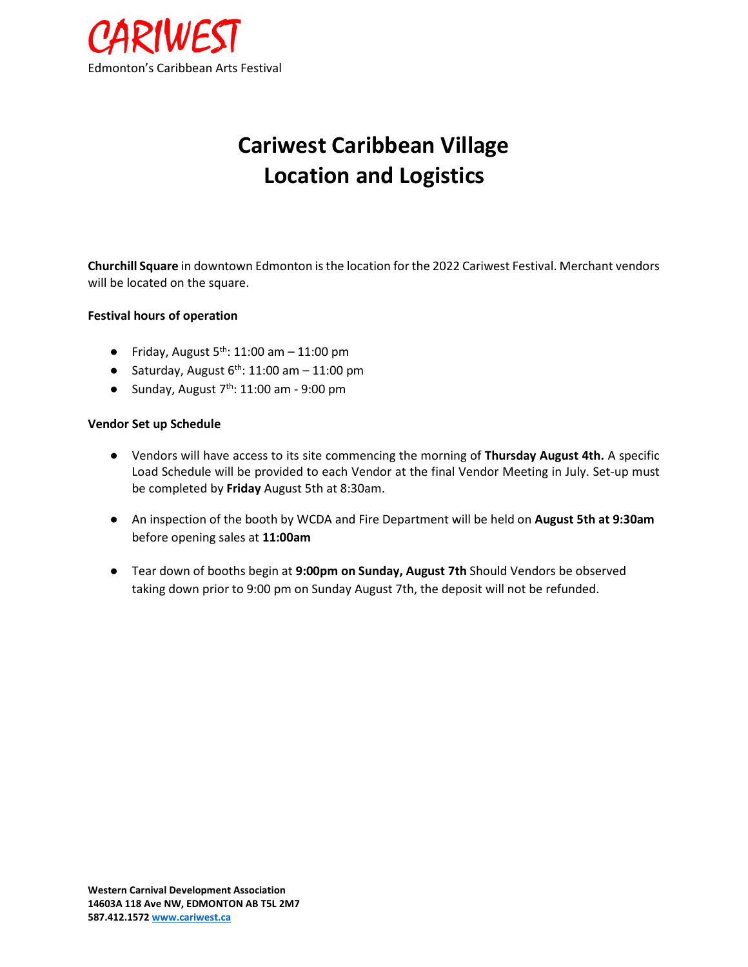

## **Cariwest Caribbean Village Location and Logistics**

**Churchill Square** in downtown Edmonton is the location for the 2022 Cariwest Festival. Merchant vendors will be located on the square.

#### **Festival hours of operation**

- $\bullet$  Friday, August 5<sup>th</sup>: 11:00 am  $-$  11:00 pm
- Saturday, August  $6^{th}$ : 11:00 am 11:00 pm
- Sunday, August  $7<sup>th</sup>$ : 11:00 am 9:00 pm

#### **Vendor Set up Schedule**

- Vendors will have access to its site commencing the morning of **Thursday August 4th.** A specific Load Schedule will be provided to each Vendor at the final Vendor Meeting in July. Set-up must be completed by **Friday** August 5th at 8:30am.
- An inspection of the booth by WCDA and Fire Department will be held on **August 5th at 9:30am**  before opening sales at **11:00am**
- Tear down of booths begin at **9:00pm on Sunday, August 7th** Should Vendors be observed taking down prior to 9:00 pm on Sunday August 7th, the deposit will not be refunded.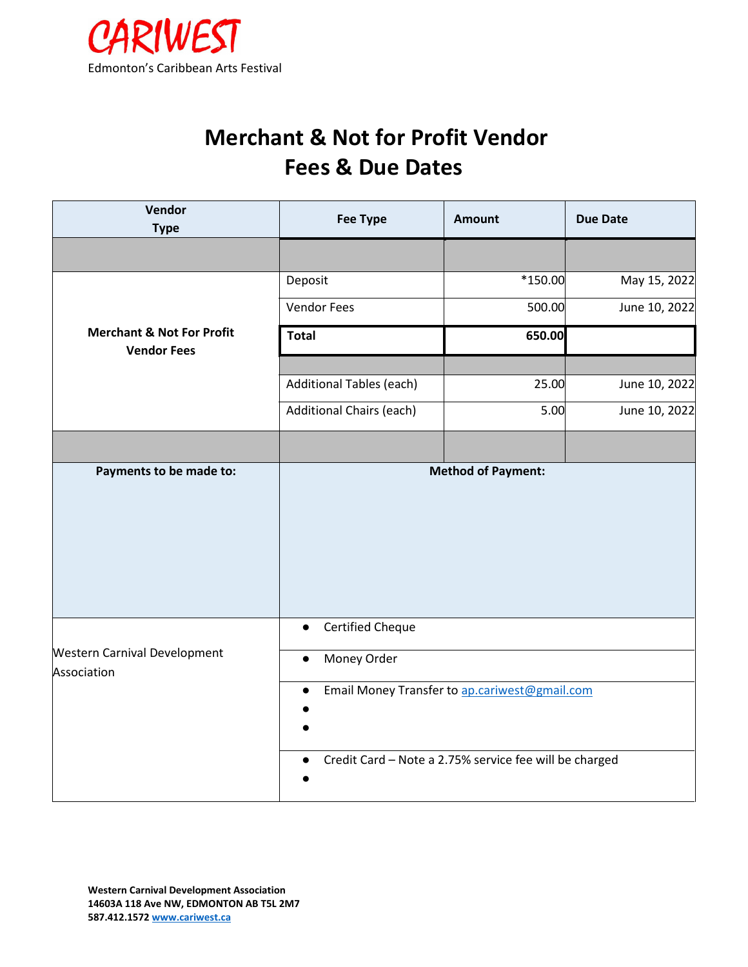

## **Merchant & Not for Profit Vendor Fees & Due Dates**

| Vendor<br><b>Type</b>                                      | <b>Fee Type</b>                                                     | <b>Amount</b>             | <b>Due Date</b> |
|------------------------------------------------------------|---------------------------------------------------------------------|---------------------------|-----------------|
|                                                            |                                                                     |                           |                 |
|                                                            | Deposit                                                             | *150.00                   | May 15, 2022    |
|                                                            | <b>Vendor Fees</b>                                                  | 500.00                    | June 10, 2022   |
| <b>Merchant &amp; Not For Profit</b><br><b>Vendor Fees</b> | <b>Total</b>                                                        | 650.00                    |                 |
|                                                            |                                                                     |                           |                 |
|                                                            | <b>Additional Tables (each)</b>                                     | 25.00                     | June 10, 2022   |
|                                                            | <b>Additional Chairs (each)</b>                                     | 5.00                      | June 10, 2022   |
|                                                            |                                                                     |                           |                 |
| Payments to be made to:                                    |                                                                     | <b>Method of Payment:</b> |                 |
|                                                            | <b>Certified Cheque</b><br>$\bullet$                                |                           |                 |
| <b>Western Carnival Development</b><br>Association         | Money Order<br>$\bullet$                                            |                           |                 |
|                                                            | Email Money Transfer to ap.cariwest@gmail.com<br>$\bullet$          |                           |                 |
|                                                            | Credit Card - Note a 2.75% service fee will be charged<br>$\bullet$ |                           |                 |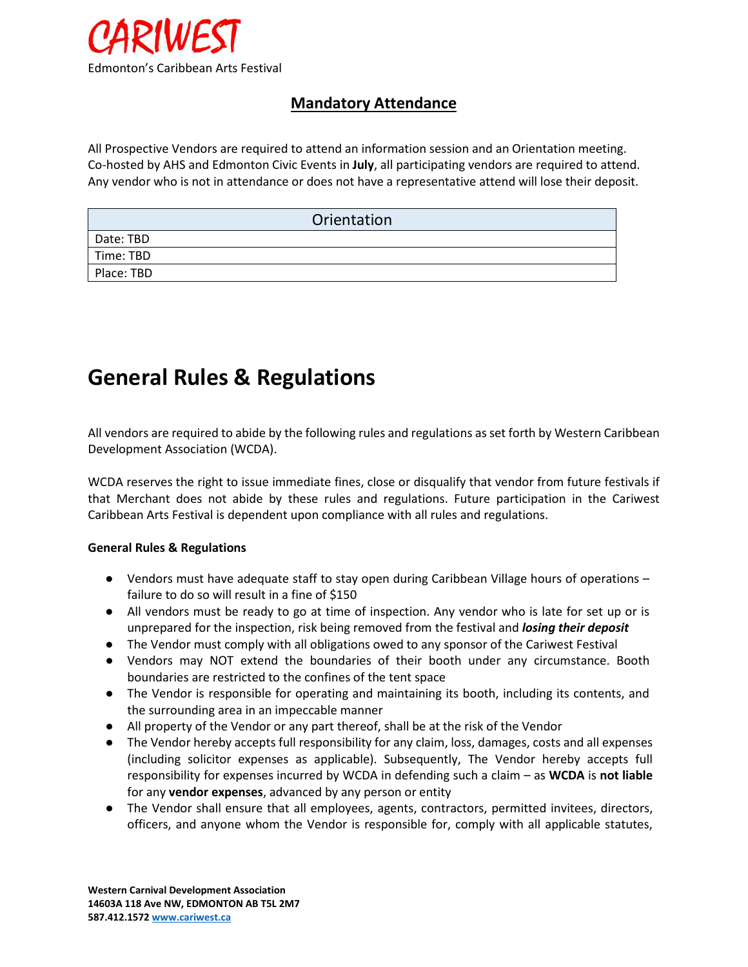

### **Mandatory Attendance**

All Prospective Vendors are required to attend an information session and an Orientation meeting. Co-hosted by AHS and Edmonton Civic Events in **July**, all participating vendors are required to attend. Any vendor who is not in attendance or does not have a representative attend will lose their deposit.

|            | Orientation |  |
|------------|-------------|--|
| Date: TBD  |             |  |
| Time: TBD  |             |  |
| Place: TBD |             |  |

### **General Rules & Regulations**

All vendors are required to abide by the following rules and regulations as set forth by Western Caribbean Development Association (WCDA).

WCDA reserves the right to issue immediate fines, close or disqualify that vendor from future festivals if that Merchant does not abide by these rules and regulations. Future participation in the Cariwest Caribbean Arts Festival is dependent upon compliance with all rules and regulations.

#### **General Rules & Regulations**

- Vendors must have adequate staff to stay open during Caribbean Village hours of operations failure to do so will result in a fine of \$150
- All vendors must be ready to go at time of inspection. Any vendor who is late for set up or is unprepared for the inspection, risk being removed from the festival and *losing their deposit*
- The Vendor must comply with all obligations owed to any sponsor of the Cariwest Festival
- Vendors may NOT extend the boundaries of their booth under any circumstance. Booth boundaries are restricted to the confines of the tent space
- The Vendor is responsible for operating and maintaining its booth, including its contents, and the surrounding area in an impeccable manner
- All property of the Vendor or any part thereof, shall be at the risk of the Vendor
- The Vendor hereby accepts full responsibility for any claim, loss, damages, costs and all expenses (including solicitor expenses as applicable). Subsequently, The Vendor hereby accepts full responsibility for expenses incurred by WCDA in defending such a claim – as **WCDA** is **not liable** for any **vendor expenses**, advanced by any person or entity
- The Vendor shall ensure that all employees, agents, contractors, permitted invitees, directors, officers, and anyone whom the Vendor is responsible for, comply with all applicable statutes,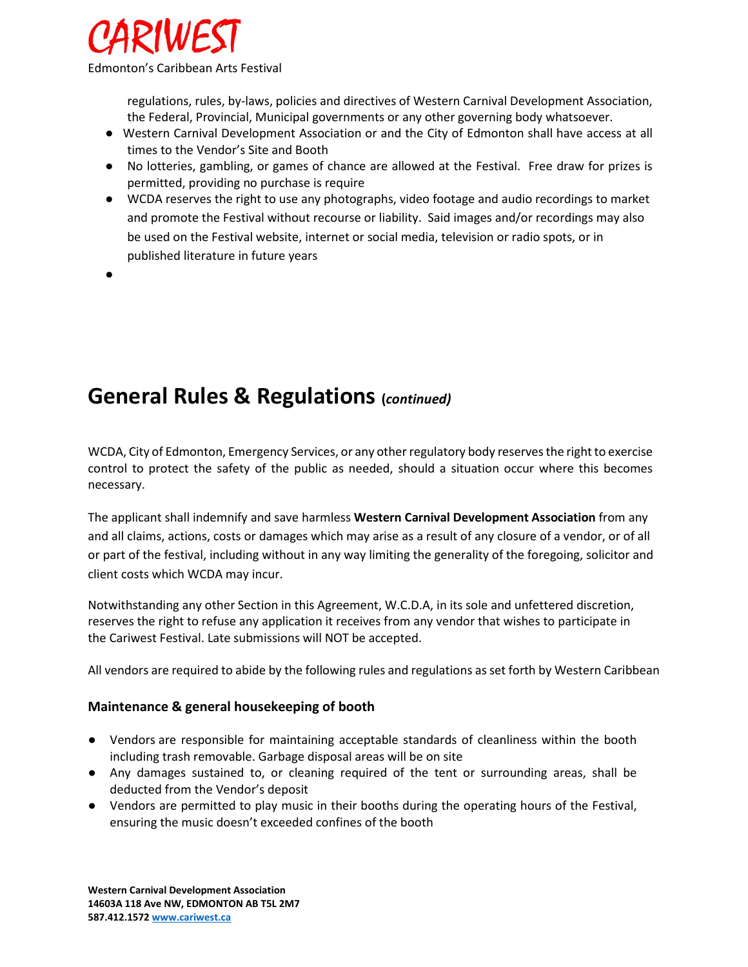

regulations, rules, by-laws, policies and directives of Western Carnival Development Association, the Federal, Provincial, Municipal governments or any other governing body whatsoever.

- Western Carnival Development Association or and the City of Edmonton shall have access at all times to the Vendor's Site and Booth
- No lotteries, gambling, or games of chance are allowed at the Festival. Free draw for prizes is permitted, providing no purchase is require
- WCDA reserves the right to use any photographs, video footage and audio recordings to market and promote the Festival without recourse or liability. Said images and/or recordings may also be used on the Festival website, internet or social media, television or radio spots, or in published literature in future years
- ●

### **General Rules & Regulations (***continued)*

WCDA, City of Edmonton, Emergency Services, or any other regulatory body reserves the right to exercise control to protect the safety of the public as needed, should a situation occur where this becomes necessary.

The applicant shall indemnify and save harmless **Western Carnival Development Association** from any and all claims, actions, costs or damages which may arise as a result of any closure of a vendor, or of all or part of the festival, including without in any way limiting the generality of the foregoing, solicitor and client costs which WCDA may incur.

Notwithstanding any other Section in this Agreement, W.C.D.A, in its sole and unfettered discretion, reserves the right to refuse any application it receives from any vendor that wishes to participate in the Cariwest Festival. Late submissions will NOT be accepted.

All vendors are required to abide by the following rules and regulations as set forth by Western Caribbean

#### **Maintenance & general housekeeping of booth**

- Vendors are responsible for maintaining acceptable standards of cleanliness within the booth including trash removable. Garbage disposal areas will be on site
- Any damages sustained to, or cleaning required of the tent or surrounding areas, shall be deducted from the Vendor's deposit
- Vendors are permitted to play music in their booths during the operating hours of the Festival, ensuring the music doesn't exceeded confines of the booth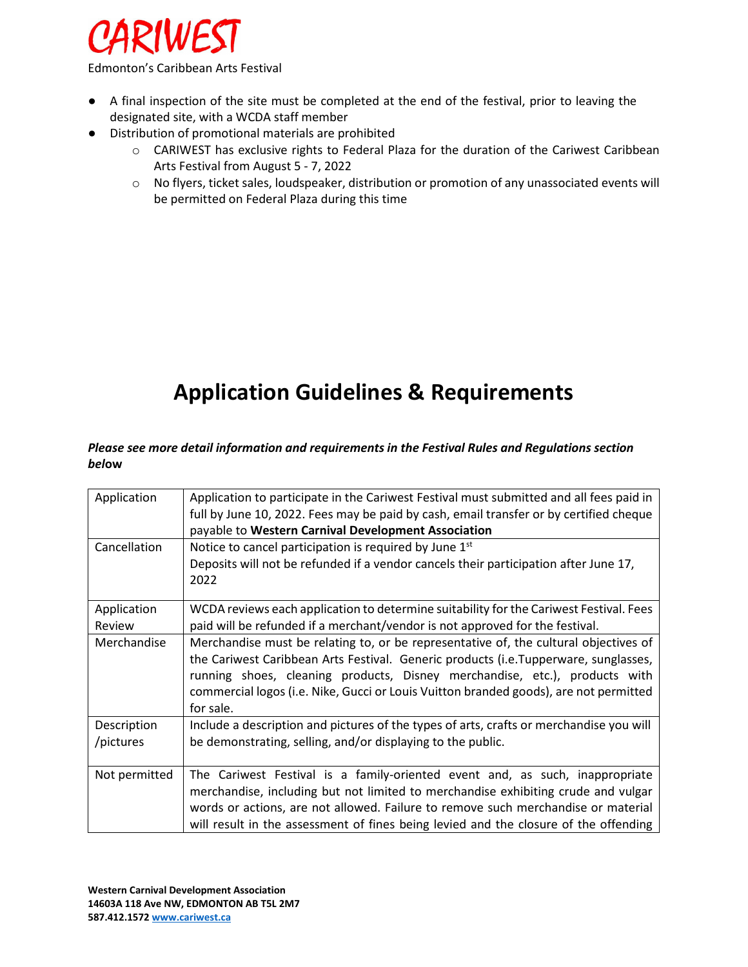

- A final inspection of the site must be completed at the end of the festival, prior to leaving the designated site, with a WCDA staff member
- Distribution of promotional materials are prohibited
	- o CARIWEST has exclusive rights to Federal Plaza for the duration of the Cariwest Caribbean Arts Festival from August 5 - 7, 2022
	- o No flyers, ticket sales, loudspeaker, distribution or promotion of any unassociated events will be permitted on Federal Plaza during this time

## **Application Guidelines & Requirements**

### *Please see more detail information and requirements in the Festival Rules and Regulations section bel***ow**

| Application              | Application to participate in the Cariwest Festival must submitted and all fees paid in<br>full by June 10, 2022. Fees may be paid by cash, email transfer or by certified cheque<br>payable to Western Carnival Development Association                                                                                                                        |
|--------------------------|-----------------------------------------------------------------------------------------------------------------------------------------------------------------------------------------------------------------------------------------------------------------------------------------------------------------------------------------------------------------|
| Cancellation             | Notice to cancel participation is required by June 1st<br>Deposits will not be refunded if a vendor cancels their participation after June 17,<br>2022                                                                                                                                                                                                          |
| Application<br>Review    | WCDA reviews each application to determine suitability for the Cariwest Festival. Fees<br>paid will be refunded if a merchant/vendor is not approved for the festival.                                                                                                                                                                                          |
| Merchandise              | Merchandise must be relating to, or be representative of, the cultural objectives of<br>the Cariwest Caribbean Arts Festival. Generic products (i.e.Tupperware, sunglasses,<br>running shoes, cleaning products, Disney merchandise, etc.), products with<br>commercial logos (i.e. Nike, Gucci or Louis Vuitton branded goods), are not permitted<br>for sale. |
| Description<br>/pictures | Include a description and pictures of the types of arts, crafts or merchandise you will<br>be demonstrating, selling, and/or displaying to the public.                                                                                                                                                                                                          |
| Not permitted            | The Cariwest Festival is a family-oriented event and, as such, inappropriate<br>merchandise, including but not limited to merchandise exhibiting crude and vulgar<br>words or actions, are not allowed. Failure to remove such merchandise or material<br>will result in the assessment of fines being levied and the closure of the offending                  |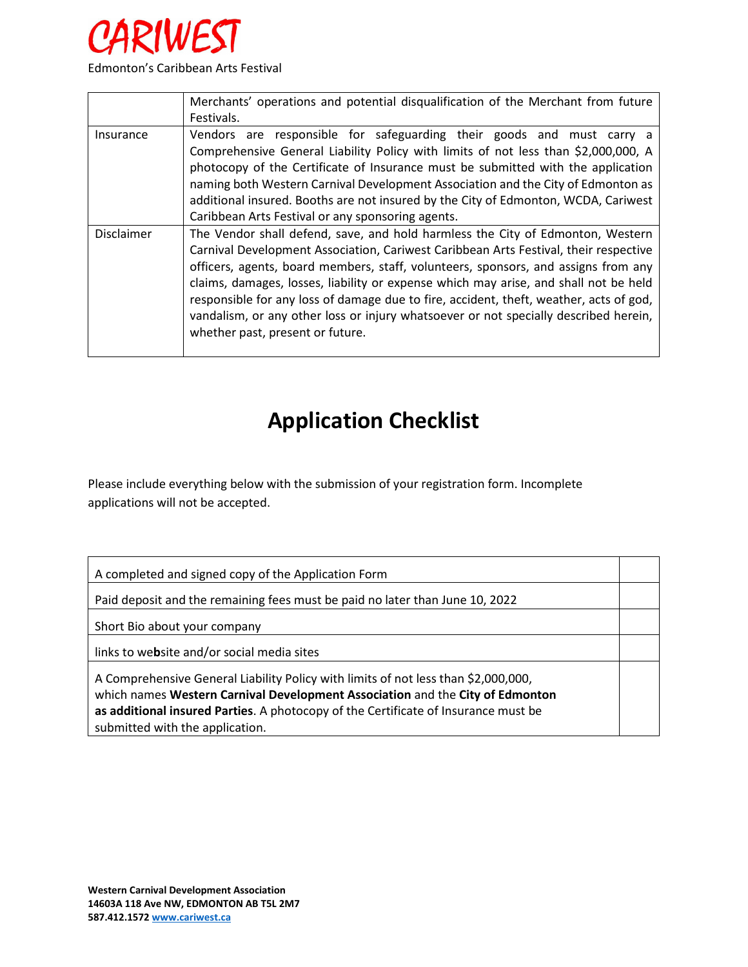

|            | Merchants' operations and potential disqualification of the Merchant from future                                                                                                                                                                                                                                                                                                                                                                                                                                                                                           |  |  |  |
|------------|----------------------------------------------------------------------------------------------------------------------------------------------------------------------------------------------------------------------------------------------------------------------------------------------------------------------------------------------------------------------------------------------------------------------------------------------------------------------------------------------------------------------------------------------------------------------------|--|--|--|
|            | Festivals.                                                                                                                                                                                                                                                                                                                                                                                                                                                                                                                                                                 |  |  |  |
| Insurance  | Vendors are responsible for safeguarding their goods and must carry a<br>Comprehensive General Liability Policy with limits of not less than \$2,000,000, A<br>photocopy of the Certificate of Insurance must be submitted with the application<br>naming both Western Carnival Development Association and the City of Edmonton as<br>additional insured. Booths are not insured by the City of Edmonton, WCDA, Cariwest                                                                                                                                                  |  |  |  |
|            | Caribbean Arts Festival or any sponsoring agents.                                                                                                                                                                                                                                                                                                                                                                                                                                                                                                                          |  |  |  |
| Disclaimer | The Vendor shall defend, save, and hold harmless the City of Edmonton, Western<br>Carnival Development Association, Cariwest Caribbean Arts Festival, their respective<br>officers, agents, board members, staff, volunteers, sponsors, and assigns from any<br>claims, damages, losses, liability or expense which may arise, and shall not be held<br>responsible for any loss of damage due to fire, accident, theft, weather, acts of god,<br>vandalism, or any other loss or injury whatsoever or not specially described herein,<br>whether past, present or future. |  |  |  |

## **Application Checklist**

Please include everything below with the submission of your registration form. Incomplete applications will not be accepted.

A completed and signed copy of the Application Form

Paid deposit and the remaining fees must be paid no later than June 10, 2022

Short Bio about your company

links to we**b**site and/or social media sites

A Comprehensive General Liability Policy with limits of not less than \$2,000,000, which names **Western Carnival Development Association** and the **City of Edmonton as additional insured Parties**. A photocopy of the Certificate of Insurance must be submitted with the application.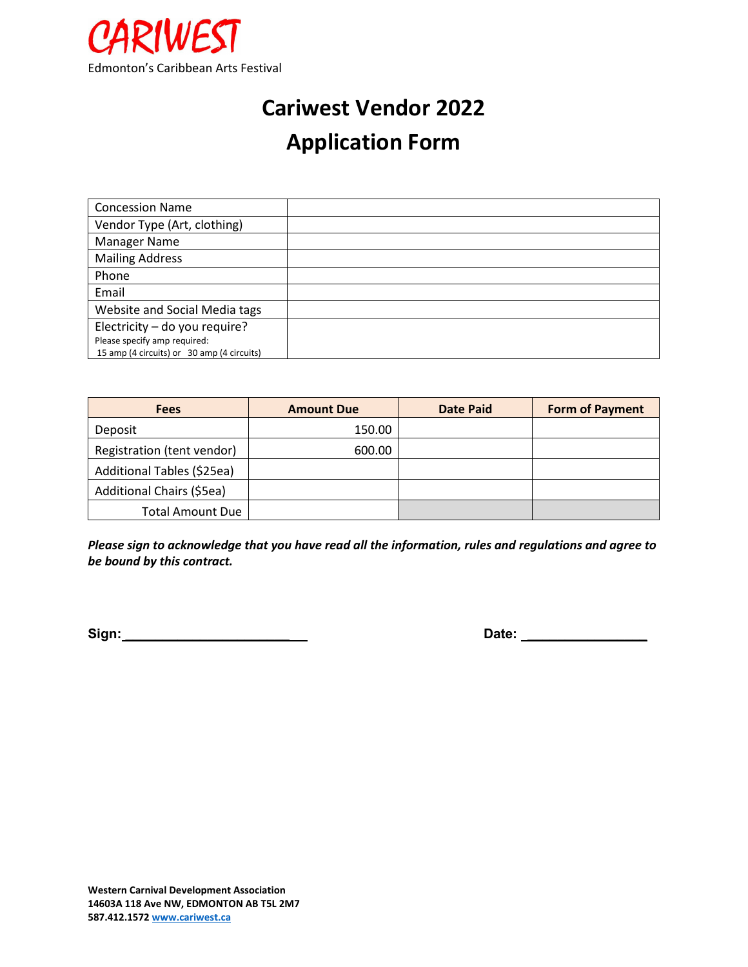

### **Cariwest Vendor 2022**

## **Application Form**

| <b>Concession Name</b>                     |  |
|--------------------------------------------|--|
| Vendor Type (Art, clothing)                |  |
| Manager Name                               |  |
| <b>Mailing Address</b>                     |  |
| Phone                                      |  |
| Email                                      |  |
| Website and Social Media tags              |  |
| Electricity - do you require?              |  |
| Please specify amp required:               |  |
| 15 amp (4 circuits) or 30 amp (4 circuits) |  |

| <b>Fees</b>                | <b>Amount Due</b> | <b>Date Paid</b> | <b>Form of Payment</b> |
|----------------------------|-------------------|------------------|------------------------|
| Deposit                    | 150.00            |                  |                        |
| Registration (tent vendor) | 600.00            |                  |                        |
| Additional Tables (\$25ea) |                   |                  |                        |
| Additional Chairs (\$5ea)  |                   |                  |                        |
| <b>Total Amount Due</b>    |                   |                  |                        |

*Please sign to acknowledge that you have read all the information, rules and regulations and agree to be bound by this contract.*

**Sign: \_\_\_\_\_\_\_\_\_\_\_\_\_\_\_\_\_\_\_\_\_\_ Date: \_\_\_\_\_\_\_\_\_\_\_\_\_\_\_\_**